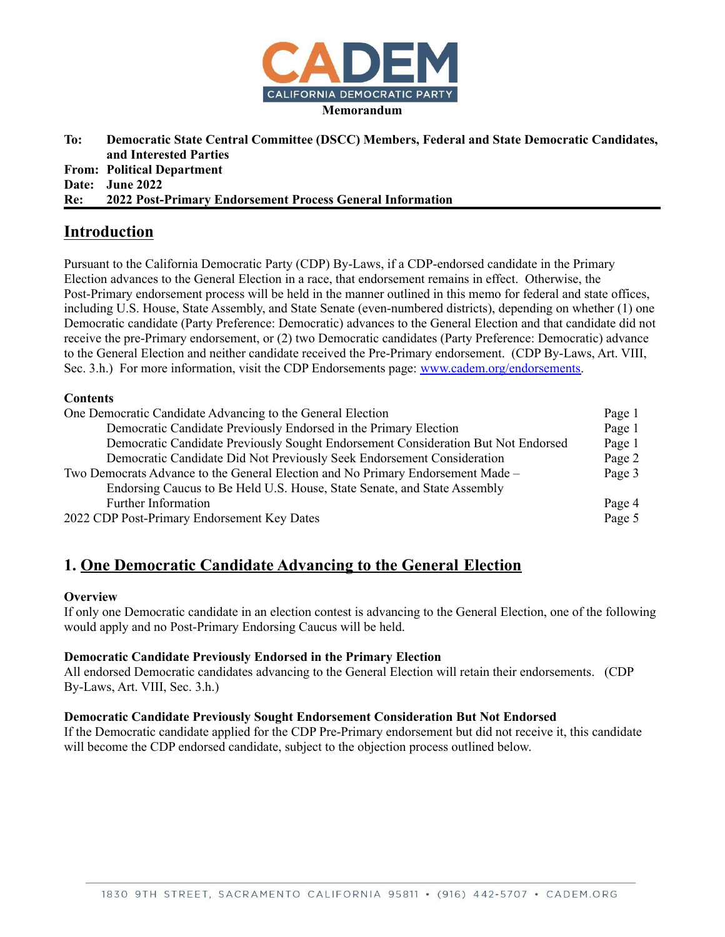

**To: Democratic State Central Committee (DSCC) Members, Federal and State Democratic Candidates, and Interested Parties From: Political Department Date: June 2022 Re: 2022 Post-Primary Endorsement Process General Information**

# **Introduction**

Pursuant to the California Democratic Party (CDP) By-Laws, if a CDP-endorsed candidate in the Primary Election advances to the General Election in a race, that endorsement remains in effect. Otherwise, the Post-Primary endorsement process will be held in the manner outlined in this memo for federal and state offices, including U.S. House, State Assembly, and State Senate (even-numbered districts), depending on whether (1) one Democratic candidate (Party Preference: Democratic) advances to the General Election and that candidate did not receive the pre-Primary endorsement, or (2) two Democratic candidates (Party Preference: Democratic) advance to the General Election and neither candidate received the Pre-Primary endorsement. (CDP By-Laws, Art. VIII, Sec. 3.h.) For more information, visit the CDP Endorsements page: [www.cadem.org/endorsements.](http://www.cadem.org/endorsements)

### **Contents**

| One Democratic Candidate Advancing to the General Election                        | Page 1 |
|-----------------------------------------------------------------------------------|--------|
| Democratic Candidate Previously Endorsed in the Primary Election                  | Page 1 |
| Democratic Candidate Previously Sought Endorsement Consideration But Not Endorsed | Page 1 |
| Democratic Candidate Did Not Previously Seek Endorsement Consideration            | Page 2 |
| Two Democrats Advance to the General Election and No Primary Endorsement Made –   |        |
| Endorsing Caucus to Be Held U.S. House, State Senate, and State Assembly          |        |
| Further Information                                                               | Page 4 |
| 2022 CDP Post-Primary Endorsement Key Dates                                       |        |

# **1. One Democratic Candidate Advancing to the General Election**

#### **Overview**

If only one Democratic candidate in an election contest is advancing to the General Election, one of the following would apply and no Post-Primary Endorsing Caucus will be held.

#### **Democratic Candidate Previously Endorsed in the Primary Election**

All endorsed Democratic candidates advancing to the General Election will retain their endorsements. (CDP By-Laws, Art. VIII, Sec. 3.h.)

### **Democratic Candidate Previously Sought Endorsement Consideration But Not Endorsed**

If the Democratic candidate applied for the CDP Pre-Primary endorsement but did not receive it, this candidate will become the CDP endorsed candidate, subject to the objection process outlined below.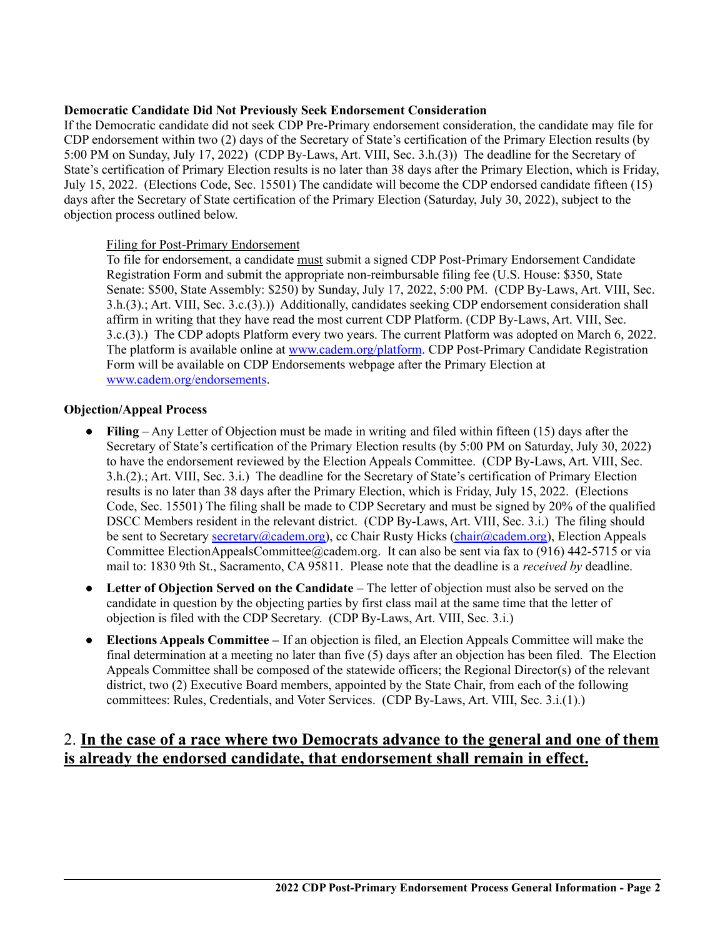### **Democratic Candidate Did Not Previously Seek Endorsement Consideration**

If the Democratic candidate did not seek CDP Pre-Primary endorsement consideration, the candidate may file for CDP endorsement within two (2) days of the Secretary of State's certification of the Primary Election results (by 5:00 PM on Sunday, July 17, 2022) (CDP By-Laws, Art. VIII, Sec. 3.h.(3)) The deadline for the Secretary of State's certification of Primary Election results is no later than 38 days after the Primary Election, which is Friday, July 15, 2022. (Elections Code, Sec. 15501) The candidate will become the CDP endorsed candidate fifteen (15) days after the Secretary of State certification of the Primary Election (Saturday, July 30, 2022), subject to the objection process outlined below.

### Filing for Post-Primary Endorsement

To file for endorsement, a candidate must submit a signed CDP Post-Primary Endorsement Candidate Registration Form and submit the appropriate non-reimbursable filing fee (U.S. House: \$350, State Senate: \$500, State Assembly: \$250) by Sunday, July 17, 2022, 5:00 PM. (CDP By-Laws, Art. VIII, Sec. 3.h.(3).; Art. VIII, Sec. 3.c.(3).)) Additionally, candidates seeking CDP endorsement consideration shall affirm in writing that they have read the most current CDP Platform. (CDP By-Laws, Art. VIII, Sec. 3.c.(3).) The CDP adopts Platform every two years. The current Platform was adopted on March 6, 2022. The platform is available online at [www.cadem.org/platform](https://www.cadem.org/our-party/standing-committees/platform-committee). CDP Post-Primary Candidate Registration Form will be available on CDP Endorsements webpage after the Primary Election at [www.cadem.org/endorsements](http://www.cadem.org/endorsements).

#### **Objection/Appeal Process**

- **Filing** Any Letter of Objection must be made in writing and filed within fifteen (15) days after the Secretary of State's certification of the Primary Election results (by 5:00 PM on Saturday, July 30, 2022) to have the endorsement reviewed by the Election Appeals Committee. (CDP By-Laws, Art. VIII, Sec. 3.h.(2).; Art. VIII, Sec. 3.i.) The deadline for the Secretary of State's certification of Primary Election results is no later than 38 days after the Primary Election, which is Friday, July 15, 2022. (Elections Code, Sec. 15501) The filing shall be made to CDP Secretary and must be signed by 20% of the qualified DSCC Members resident in the relevant district. (CDP By-Laws, Art. VIII, Sec. 3.i.) The filing should be sent to Secretary secretary (@cadem.org), cc Chair Rusty Hicks (chair (@cadem.org), Election Appeals Committee ElectionAppealsCommittee@cadem.org. It can also be sent via fax to (916) 442-5715 or via mail to: 1830 9th St., Sacramento, CA 95811. Please note that the deadline is a *received by* deadline.
- **Letter of Objection Served on the Candidate** The letter of objection must also be served on the candidate in question by the objecting parties by first class mail at the same time that the letter of objection is filed with the CDP Secretary. (CDP By-Laws, Art. VIII, Sec. 3.i.)
- **Elections Appeals Committee –** If an objection is filed, an Election Appeals Committee will make the final determination at a meeting no later than five (5) days after an objection has been filed. The Election Appeals Committee shall be composed of the statewide officers; the Regional Director(s) of the relevant district, two (2) Executive Board members, appointed by the State Chair, from each of the following committees: Rules, Credentials, and Voter Services. (CDP By-Laws, Art. VIII, Sec. 3.i.(1).)

# 2. **In the case of a race where two Democrats advance to the general and one of them is already the endorsed candidate, that endorsement shall remain in effect.**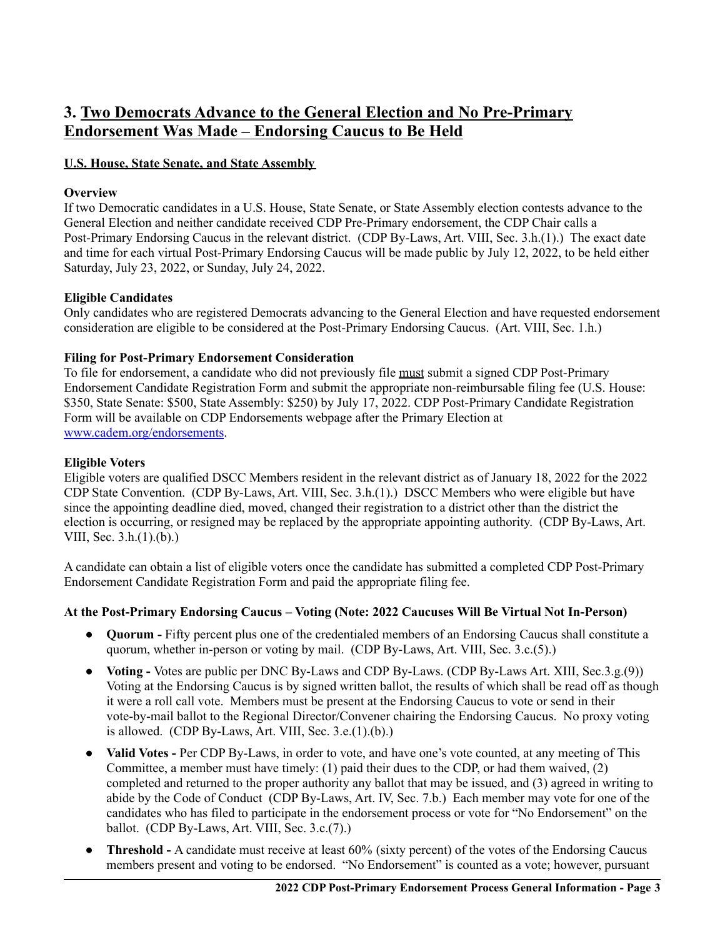# **3. Two Democrats Advance to the General Election and No Pre-Primary Endorsement Was Made – Endorsing Caucus to Be Held**

### **U.S. House, State Senate, and State Assembly**

# **Overview**

If two Democratic candidates in a U.S. House, State Senate, or State Assembly election contests advance to the General Election and neither candidate received CDP Pre-Primary endorsement, the CDP Chair calls a Post-Primary Endorsing Caucus in the relevant district. (CDP By-Laws, Art. VIII, Sec. 3.h.(1).) The exact date and time for each virtual Post-Primary Endorsing Caucus will be made public by July 12, 2022, to be held either Saturday, July 23, 2022, or Sunday, July 24, 2022.

# **Eligible Candidates**

Only candidates who are registered Democrats advancing to the General Election and have requested endorsement consideration are eligible to be considered at the Post-Primary Endorsing Caucus. (Art. VIII, Sec. 1.h.)

# **Filing for Post-Primary Endorsement Consideration**

To file for endorsement, a candidate who did not previously file must submit a signed CDP Post-Primary Endorsement Candidate Registration Form and submit the appropriate non-reimbursable filing fee (U.S. House: \$350, State Senate: \$500, State Assembly: \$250) by July 17, 2022. CDP Post-Primary Candidate Registration Form will be available on CDP Endorsements webpage after the Primary Election at [www.cadem.org/endorsements](http://www.cadem.org/endorsements).

### **Eligible Voters**

Eligible voters are qualified DSCC Members resident in the relevant district as of January 18, 2022 for the 2022 CDP State Convention. (CDP By-Laws, Art. VIII, Sec. 3.h.(1).) DSCC Members who were eligible but have since the appointing deadline died, moved, changed their registration to a district other than the district the election is occurring, or resigned may be replaced by the appropriate appointing authority. (CDP By-Laws, Art. VIII, Sec. 3.h.(1).(b).)

A candidate can obtain a list of eligible voters once the candidate has submitted a completed CDP Post-Primary Endorsement Candidate Registration Form and paid the appropriate filing fee.

### **At the Post-Primary Endorsing Caucus – Voting (Note: 2022 Caucuses Will Be Virtual Not In-Person)**

- **Quorum -** Fifty percent plus one of the credentialed members of an Endorsing Caucus shall constitute a quorum, whether in-person or voting by mail. (CDP By-Laws, Art. VIII, Sec. 3.c.(5).)
- **Voting -** Votes are public per DNC By-Laws and CDP By-Laws. (CDP By-Laws Art. XIII, Sec.3.g.(9)) Voting at the Endorsing Caucus is by signed written ballot, the results of which shall be read off as though it were a roll call vote. Members must be present at the Endorsing Caucus to vote or send in their vote-by-mail ballot to the Regional Director/Convener chairing the Endorsing Caucus. No proxy voting is allowed. (CDP By-Laws, Art. VIII, Sec.  $3.e.(1).(b).$ )
- **Valid Votes** Per CDP By-Laws, in order to vote, and have one's vote counted, at any meeting of This Committee, a member must have timely: (1) paid their dues to the CDP, or had them waived, (2) completed and returned to the proper authority any ballot that may be issued, and (3) agreed in writing to abide by the Code of Conduct (CDP By-Laws, Art. IV, Sec. 7.b.) Each member may vote for one of the candidates who has filed to participate in the endorsement process or vote for "No Endorsement" on the ballot. (CDP By-Laws, Art. VIII, Sec. 3.c.(7).)
- **Threshold** A candidate must receive at least 60% (sixty percent) of the votes of the Endorsing Caucus members present and voting to be endorsed. "No Endorsement" is counted as a vote; however, pursuant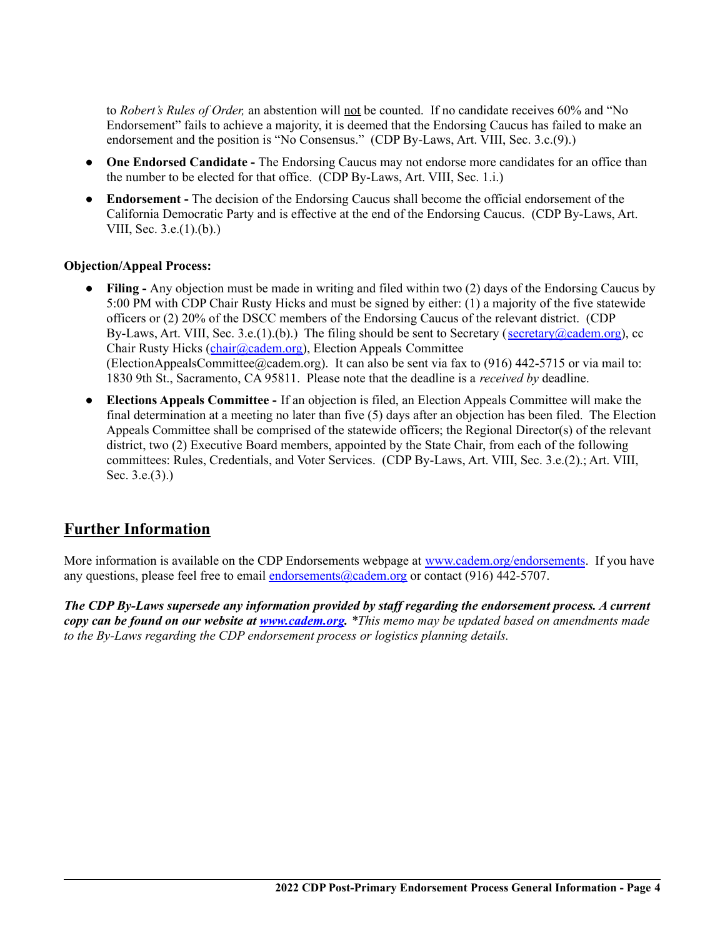to *Robert's Rules of Order,* an abstention will not be counted. If no candidate receives 60% and "No Endorsement" fails to achieve a majority, it is deemed that the Endorsing Caucus has failed to make an endorsement and the position is "No Consensus." (CDP By-Laws, Art. VIII, Sec. 3.c.(9).)

- **One Endorsed Candidate -** The Endorsing Caucus may not endorse more candidates for an office than the number to be elected for that office. (CDP By-Laws, Art. VIII, Sec. 1.i.)
- **Endorsement -** The decision of the Endorsing Caucus shall become the official endorsement of the California Democratic Party and is effective at the end of the Endorsing Caucus. (CDP By-Laws, Art. VIII, Sec. 3.e.(1).(b).)

### **Objection/Appeal Process:**

- **Filing -** Any objection must be made in writing and filed within two (2) days of the Endorsing Caucus by 5:00 PM with CDP Chair Rusty Hicks and must be signed by either: (1) a majority of the five statewide officers or (2) 20% of the DSCC members of the Endorsing Caucus of the relevant district. (CDP By-Laws, Art. VIII, Sec. 3.e.(1).(b).) The filing should be sent to Secretary (secretary (academ.org), cc Chair Rusty Hicks ([chair@cadem.org\)](mailto:chair@cadem.org), Election Appeals Committee (ElectionAppealsCommittee@cadem.org). It can also be sent via fax to (916) 442-5715 or via mail to: 1830 9th St., Sacramento, CA 95811. Please note that the deadline is a *received by* deadline.
- **Elections Appeals Committee -** If an objection is filed, an Election Appeals Committee will make the final determination at a meeting no later than five (5) days after an objection has been filed. The Election Appeals Committee shall be comprised of the statewide officers; the Regional Director(s) of the relevant district, two (2) Executive Board members, appointed by the State Chair, from each of the following committees: Rules, Credentials, and Voter Services. (CDP By-Laws, Art. VIII, Sec. 3.e.(2).; Art. VIII, Sec. 3.e.(3).)

# **Further Information**

More information is available on the CDP Endorsements webpage at [www.cadem.org/endorsements](http://www.cadem.org/endorsements). If you have any questions, please feel free to email [endorsements@cadem.org](mailto:endorsements@cadem.org) or contact (916) 442-5707.

*The CDP By-Laws supersede any information provided by staf regarding the endorsement process. A current* copy can be found on our website at [www.cadem.org](http://www.cadem.org). \*This memo may be updated based on amendments made *to the By-Laws regarding the CDP endorsement process or logistics planning details.*